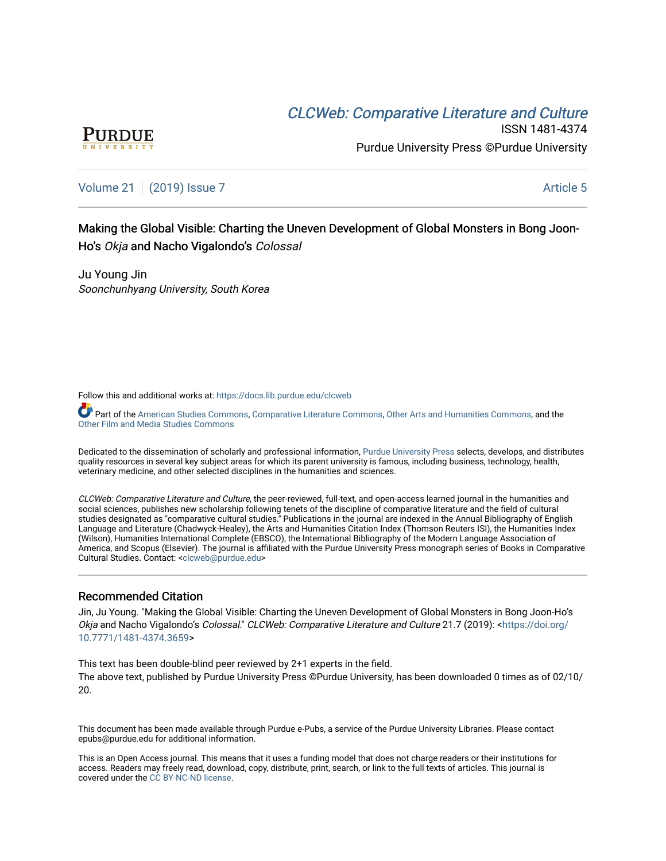# CLCW[eb: Comparative Liter](https://docs.lib.purdue.edu/clcweb)ature and Culture



ISSN 1481-4374 Purdue University Press ©Purdue University

## [Volume 21](https://docs.lib.purdue.edu/clcweb/vol21) | [\(2019\) Issue 7](https://docs.lib.purdue.edu/clcweb/vol21/iss7) Article 5

Making the Global Visible: Charting the Uneven Development of Global Monsters in Bong Joon-Ho's Okja and Nacho Vigalondo's Colossal

Ju Young Jin Soonchunhyang University, South Korea

Follow this and additional works at: [https://docs.lib.purdue.edu/clcweb](https://docs.lib.purdue.edu/clcweb?utm_source=docs.lib.purdue.edu%2Fclcweb%2Fvol21%2Fiss7%2F5&utm_medium=PDF&utm_campaign=PDFCoverPages)

Part of the [American Studies Commons](http://network.bepress.com/hgg/discipline/439?utm_source=docs.lib.purdue.edu%2Fclcweb%2Fvol21%2Fiss7%2F5&utm_medium=PDF&utm_campaign=PDFCoverPages), [Comparative Literature Commons,](http://network.bepress.com/hgg/discipline/454?utm_source=docs.lib.purdue.edu%2Fclcweb%2Fvol21%2Fiss7%2F5&utm_medium=PDF&utm_campaign=PDFCoverPages) [Other Arts and Humanities Commons,](http://network.bepress.com/hgg/discipline/577?utm_source=docs.lib.purdue.edu%2Fclcweb%2Fvol21%2Fiss7%2F5&utm_medium=PDF&utm_campaign=PDFCoverPages) and the [Other Film and Media Studies Commons](http://network.bepress.com/hgg/discipline/565?utm_source=docs.lib.purdue.edu%2Fclcweb%2Fvol21%2Fiss7%2F5&utm_medium=PDF&utm_campaign=PDFCoverPages)

Dedicated to the dissemination of scholarly and professional information, [Purdue University Press](http://www.thepress.purdue.edu/) selects, develops, and distributes quality resources in several key subject areas for which its parent university is famous, including business, technology, health, veterinary medicine, and other selected disciplines in the humanities and sciences.

CLCWeb: Comparative Literature and Culture, the peer-reviewed, full-text, and open-access learned journal in the humanities and social sciences, publishes new scholarship following tenets of the discipline of comparative literature and the field of cultural studies designated as "comparative cultural studies." Publications in the journal are indexed in the Annual Bibliography of English Language and Literature (Chadwyck-Healey), the Arts and Humanities Citation Index (Thomson Reuters ISI), the Humanities Index (Wilson), Humanities International Complete (EBSCO), the International Bibliography of the Modern Language Association of America, and Scopus (Elsevier). The journal is affiliated with the Purdue University Press monograph series of Books in Comparative Cultural Studies. Contact: [<clcweb@purdue.edu](mailto:clcweb@purdue.edu)>

## Recommended Citation

Jin, Ju Young. "Making the Global Visible: Charting the Uneven Development of Global Monsters in Bong Joon-Ho's Okja and Nacho Vigalondo's Colossal." CLCWeb: Comparative Literature and Culture 21.7 (2019): <[https://doi.org/](https://doi.org/10.7771/1481-4374.3659) [10.7771/1481-4374.3659>](https://doi.org/10.7771/1481-4374.3659)

This text has been double-blind peer reviewed by 2+1 experts in the field. The above text, published by Purdue University Press ©Purdue University, has been downloaded 0 times as of 02/10/ 20.

This document has been made available through Purdue e-Pubs, a service of the Purdue University Libraries. Please contact epubs@purdue.edu for additional information.

This is an Open Access journal. This means that it uses a funding model that does not charge readers or their institutions for access. Readers may freely read, download, copy, distribute, print, search, or link to the full texts of articles. This journal is covered under the [CC BY-NC-ND license.](https://creativecommons.org/licenses/by-nc-nd/4.0/)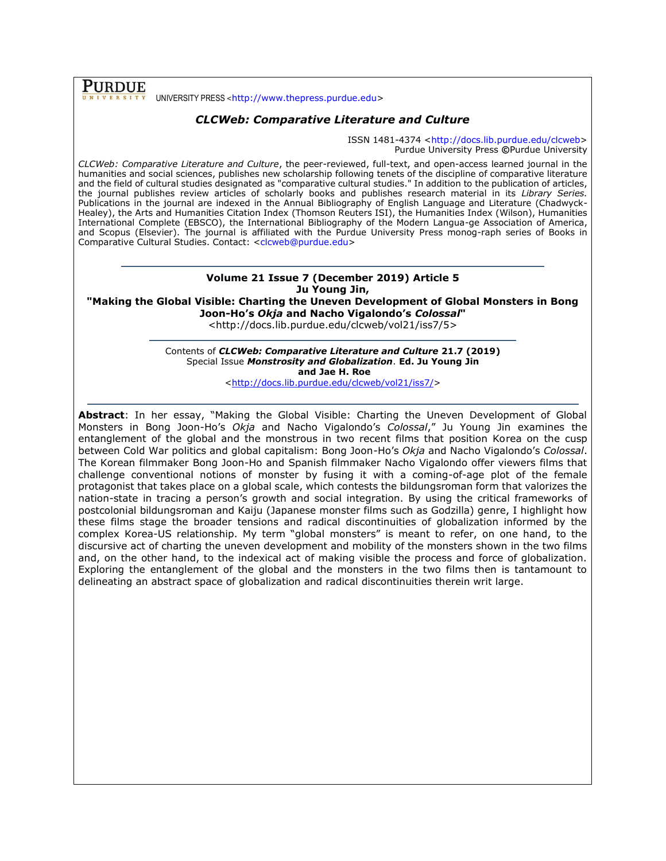**PURDUE** UNIVERSITY PRESS <[http://www.thepress.purdue.edu>](http://www.thepress.purdue.edu/)

## *CLCWeb: Comparative Literature and Culture*

ISSN 1481-4374 [<http://docs.lib.purdue.edu/clcweb>](http://docs.lib.purdue.edu/clcweb) Purdue University Press **©**Purdue University

*CLCWeb: Comparative Literature and Culture*, the peer-reviewed, full-text, and open-access learned journal in the humanities and social sciences, publishes new scholarship following tenets of the discipline of comparative literature and the field of cultural studies designated as "comparative cultural studies." In addition to the publication of articles, the journal publishes review articles of scholarly books and publishes research material in its *Library Series.*  Publications in the journal are indexed in the Annual Bibliography of English Language and Literature (Chadwyck-Healey), the Arts and Humanities Citation Index (Thomson Reuters ISI), the Humanities Index (Wilson), Humanities International Complete (EBSCO), the International Bibliography of the Modern Langua-ge Association of America, and Scopus (Elsevier). The journal is affiliated with the Purdue University Press monog-raph series of Books in Comparative Cultural Studies. Contact: [<clcweb@purdue.edu>](mailto:clcweb@purdue.edu)

## **Volume 21 Issue 7 (December 2019) Article 5 Ju Young Jin, "Making the Global Visible: Charting the Uneven Development of Global Monsters in Bong Joon-Ho's** *Okja* **and Nacho Vigalondo's** *Colossal***"**

<http://docs.lib.purdue.edu/clcweb/vol21/iss7/5>

Contents of *CLCWeb: Comparative Literature and Culture* **21.7 (2019)** Special Issue *Monstrosity and Globalization*. **Ed. Ju Young Jin and Jae H. Roe**

[<http://docs.lib.purdue.edu/clcweb/vol21/iss7/>](http://docs.lib.purdue.edu/clcweb/vol21/iss7/)

**Abstract**: In her essay, "Making the Global Visible: Charting the Uneven Development of Global Monsters in Bong Joon-Ho's *Okja* and Nacho Vigalondo's *Colossal*," Ju Young Jin examines the entanglement of the global and the monstrous in two recent films that position Korea on the cusp between Cold War politics and global capitalism: Bong Joon-Ho's *Okja* and Nacho Vigalondo's *Colossal*. The Korean filmmaker Bong Joon-Ho and Spanish filmmaker Nacho Vigalondo offer viewers films that challenge conventional notions of monster by fusing it with a coming-of-age plot of the female protagonist that takes place on a global scale, which contests the bildungsroman form that valorizes the nation-state in tracing a person's growth and social integration. By using the critical frameworks of postcolonial bildungsroman and Kaiju (Japanese monster films such as Godzilla) genre, I highlight how these films stage the broader tensions and radical discontinuities of globalization informed by the complex Korea-US relationship. My term "global monsters" is meant to refer, on one hand, to the discursive act of charting the uneven development and mobility of the monsters shown in the two films and, on the other hand, to the indexical act of making visible the process and force of globalization. Exploring the entanglement of the global and the monsters in the two films then is tantamount to delineating an abstract space of globalization and radical discontinuities therein writ large.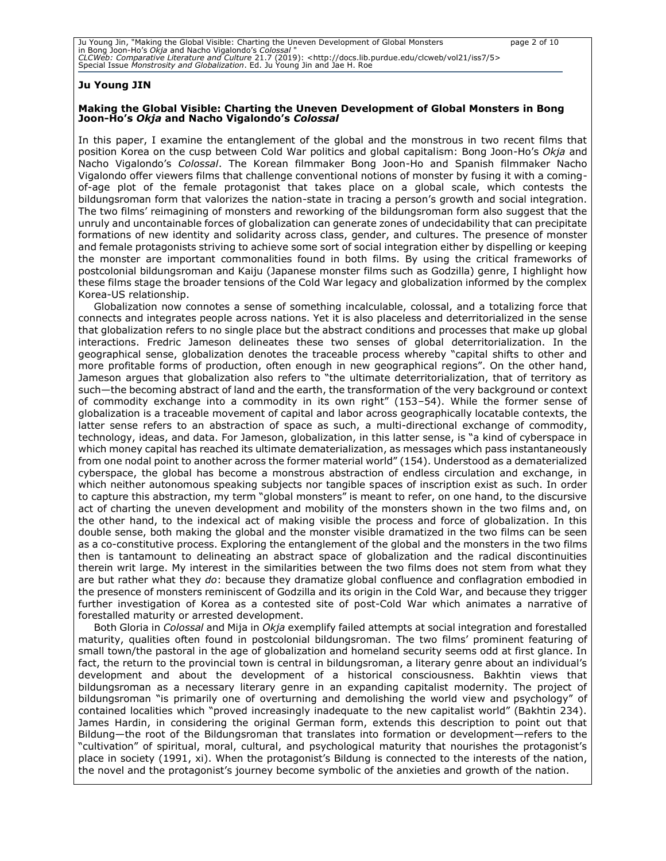#### **Ju Young JIN**

#### **Making the Global Visible: Charting the Uneven Development of Global Monsters in Bong Joon-Ho's** *Okja* **and Nacho Vigalondo's** *Colossal*

In this paper, I examine the entanglement of the global and the monstrous in two recent films that position Korea on the cusp between Cold War politics and global capitalism: Bong Joon-Ho's *Okja* and Nacho Vigalondo's *Colossal*. The Korean filmmaker Bong Joon-Ho and Spanish filmmaker Nacho Vigalondo offer viewers films that challenge conventional notions of monster by fusing it with a comingof-age plot of the female protagonist that takes place on a global scale, which contests the bildungsroman form that valorizes the nation-state in tracing a person's growth and social integration. The two films' reimagining of monsters and reworking of the bildungsroman form also suggest that the unruly and uncontainable forces of globalization can generate zones of undecidability that can precipitate formations of new identity and solidarity across class, gender, and cultures. The presence of monster and female protagonists striving to achieve some sort of social integration either by dispelling or keeping the monster are important commonalities found in both films. By using the critical frameworks of postcolonial bildungsroman and Kaiju (Japanese monster films such as Godzilla) genre, I highlight how these films stage the broader tensions of the Cold War legacy and globalization informed by the complex Korea-US relationship.

Globalization now connotes a sense of something incalculable, colossal, and a totalizing force that connects and integrates people across nations. Yet it is also placeless and deterritorialized in the sense that globalization refers to no single place but the abstract conditions and processes that make up global interactions. Fredric Jameson delineates these two senses of global deterritorialization. In the geographical sense, globalization denotes the traceable process whereby "capital shifts to other and more profitable forms of production, often enough in new geographical regions". On the other hand, Jameson argues that globalization also refers to "the ultimate deterritorialization, that of territory as such—the becoming abstract of land and the earth, the transformation of the very background or context of commodity exchange into a commodity in its own right" (153–54). While the former sense of globalization is a traceable movement of capital and labor across geographically locatable contexts, the latter sense refers to an abstraction of space as such, a multi-directional exchange of commodity, technology, ideas, and data. For Jameson, globalization, in this latter sense, is "a kind of cyberspace in which money capital has reached its ultimate dematerialization, as messages which pass instantaneously from one nodal point to another across the former material world" (154). Understood as a dematerialized cyberspace, the global has become a monstrous abstraction of endless circulation and exchange, in which neither autonomous speaking subjects nor tangible spaces of inscription exist as such. In order to capture this abstraction, my term "global monsters" is meant to refer, on one hand, to the discursive act of charting the uneven development and mobility of the monsters shown in the two films and, on the other hand, to the indexical act of making visible the process and force of globalization. In this double sense, both making the global and the monster visible dramatized in the two films can be seen as a co-constitutive process. Exploring the entanglement of the global and the monsters in the two films then is tantamount to delineating an abstract space of globalization and the radical discontinuities therein writ large. My interest in the similarities between the two films does not stem from what they are but rather what they *do*: because they dramatize global confluence and conflagration embodied in the presence of monsters reminiscent of Godzilla and its origin in the Cold War, and because they trigger further investigation of Korea as a contested site of post-Cold War which animates a narrative of forestalled maturity or arrested development.

Both Gloria in *Colossal* and Mija in *Okja* exemplify failed attempts at social integration and forestalled maturity, qualities often found in postcolonial bildungsroman. The two films' prominent featuring of small town/the pastoral in the age of globalization and homeland security seems odd at first glance. In fact, the return to the provincial town is central in bildungsroman, a literary genre about an individual's development and about the development of a historical consciousness. Bakhtin views that bildungsroman as a necessary literary genre in an expanding capitalist modernity. The project of bildungsroman "is primarily one of overturning and demolishing the world view and psychology" of contained localities which "proved increasingly inadequate to the new capitalist world" (Bakhtin 234). James Hardin, in considering the original German form, extends this description to point out that Bildung—the root of the Bildungsroman that translates into formation or development—refers to the "cultivation" of spiritual, moral, cultural, and psychological maturity that nourishes the protagonist's place in society (1991, xi). When the protagonist's Bildung is connected to the interests of the nation, the novel and the protagonist's journey become symbolic of the anxieties and growth of the nation.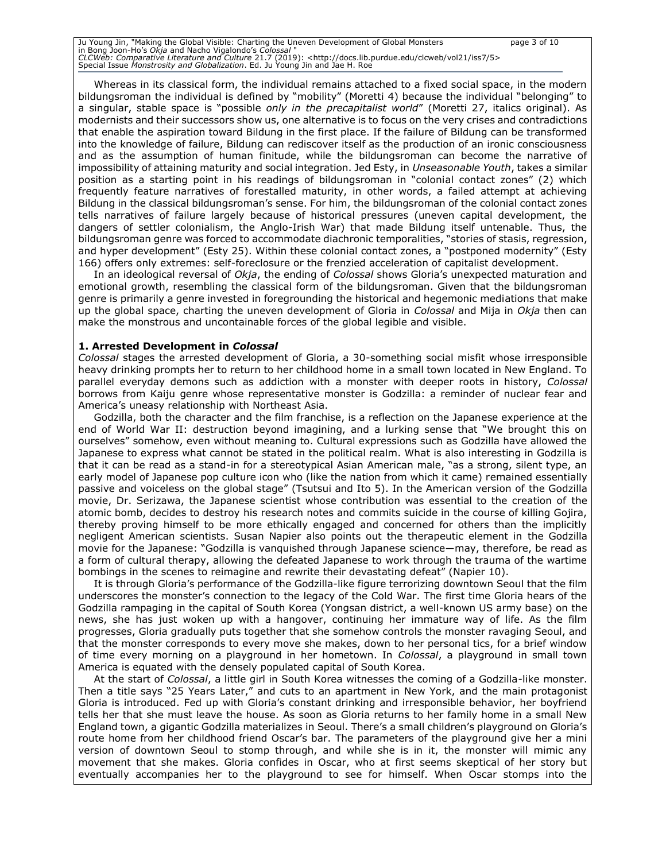Ju Young Jin, "Making the Global Visible: Charting the Uneven Development of Global Monsters page 3 of 10 in Bong Joon-Ho's *Okja* and Nacho Vigalondo's *Colossal* " *CLCWeb: Comparative Literature and Culture* 21.7 (2019): <http://docs.lib.purdue.edu/clcweb/vol21/iss7/5> Special Issue *Monstrosity and Globalization*. Ed. Ju Young Jin and Jae H. Roe

Whereas in its classical form, the individual remains attached to a fixed social space, in the modern bildungsroman the individual is defined by "mobility" (Moretti 4) because the individual "belonging" to a singular, stable space is "possible *only in the precapitalist world*" (Moretti 27, italics original). As modernists and their successors show us, one alternative is to focus on the very crises and contradictions that enable the aspiration toward Bildung in the first place. If the failure of Bildung can be transformed into the knowledge of failure, Bildung can rediscover itself as the production of an ironic consciousness and as the assumption of human finitude, while the bildungsroman can become the narrative of impossibility of attaining maturity and social integration. Jed Esty, in *Unseasonable Youth*, takes a similar position as a starting point in his readings of bildungsroman in "colonial contact zones" (2) which frequently feature narratives of forestalled maturity, in other words, a failed attempt at achieving Bildung in the classical bildungsroman's sense. For him, the bildungsroman of the colonial contact zones tells narratives of failure largely because of historical pressures (uneven capital development, the dangers of settler colonialism, the Anglo-Irish War) that made Bildung itself untenable. Thus, the bildungsroman genre was forced to accommodate diachronic temporalities, "stories of stasis, regression, and hyper development" (Esty 25). Within these colonial contact zones, a "postponed modernity" (Esty 166) offers only extremes: self-foreclosure or the frenzied acceleration of capitalist development.

In an ideological reversal of *Okja*, the ending of *Colossal* shows Gloria's unexpected maturation and emotional growth, resembling the classical form of the bildungsroman. Given that the bildungsroman genre is primarily a genre invested in foregrounding the historical and hegemonic mediations that make up the global space, charting the uneven development of Gloria in *Colossal* and Mija in *Okja* then can make the monstrous and uncontainable forces of the global legible and visible.

#### **1. Arrested Development in** *Colossal*

*Colossal* stages the arrested development of Gloria, a 30-something social misfit whose irresponsible heavy drinking prompts her to return to her childhood home in a small town located in New England. To parallel everyday demons such as addiction with a monster with deeper roots in history, *Colossal* borrows from Kaiju genre whose representative monster is Godzilla: a reminder of nuclear fear and America's uneasy relationship with Northeast Asia.

Godzilla, both the character and the film franchise, is a reflection on the Japanese experience at the end of World War II: destruction beyond imagining, and a lurking sense that "We brought this on ourselves" somehow, even without meaning to. Cultural expressions such as Godzilla have allowed the Japanese to express what cannot be stated in the political realm. What is also interesting in Godzilla is that it can be read as a stand-in for a stereotypical Asian American male, "as a strong, silent type, an early model of Japanese pop culture icon who (like the nation from which it came) remained essentially passive and voiceless on the global stage" (Tsutsui and Ito 5). In the American version of the Godzilla movie, Dr. Serizawa, the Japanese scientist whose contribution was essential to the creation of the atomic bomb, decides to destroy his research notes and commits suicide in the course of killing Gojira, thereby proving himself to be more ethically engaged and concerned for others than the implicitly negligent American scientists. Susan Napier also points out the therapeutic element in the Godzilla movie for the Japanese: "Godzilla is vanquished through Japanese science―may, therefore, be read as a form of cultural therapy, allowing the defeated Japanese to work through the trauma of the wartime bombings in the scenes to reimagine and rewrite their devastating defeat" (Napier 10).

It is through Gloria's performance of the Godzilla-like figure terrorizing downtown Seoul that the film underscores the monster's connection to the legacy of the Cold War. The first time Gloria hears of the Godzilla rampaging in the capital of South Korea (Yongsan district, a well-known US army base) on the news, she has just woken up with a hangover, continuing her immature way of life. As the film progresses, Gloria gradually puts together that she somehow controls the monster ravaging Seoul, and that the monster corresponds to every move she makes, down to her personal tics, for a brief window of time every morning on a playground in her hometown. In *Colossal*, a playground in small town America is equated with the densely populated capital of South Korea.

At the start of *Colossal*, a little girl in South Korea witnesses the coming of a Godzilla-like monster. Then a title says "25 Years Later," and cuts to an apartment in New York, and the main protagonist Gloria is introduced. Fed up with Gloria's constant drinking and irresponsible behavior, her boyfriend tells her that she must leave the house. As soon as Gloria returns to her family home in a small New England town, a gigantic Godzilla materializes in Seoul. There's a small children's playground on Gloria's route home from her childhood friend Oscar's bar. The parameters of the playground give her a mini version of downtown Seoul to stomp through, and while she is in it, the monster will mimic any movement that she makes. Gloria confides in Oscar, who at first seems skeptical of her story but eventually accompanies her to the playground to see for himself. When Oscar stomps into the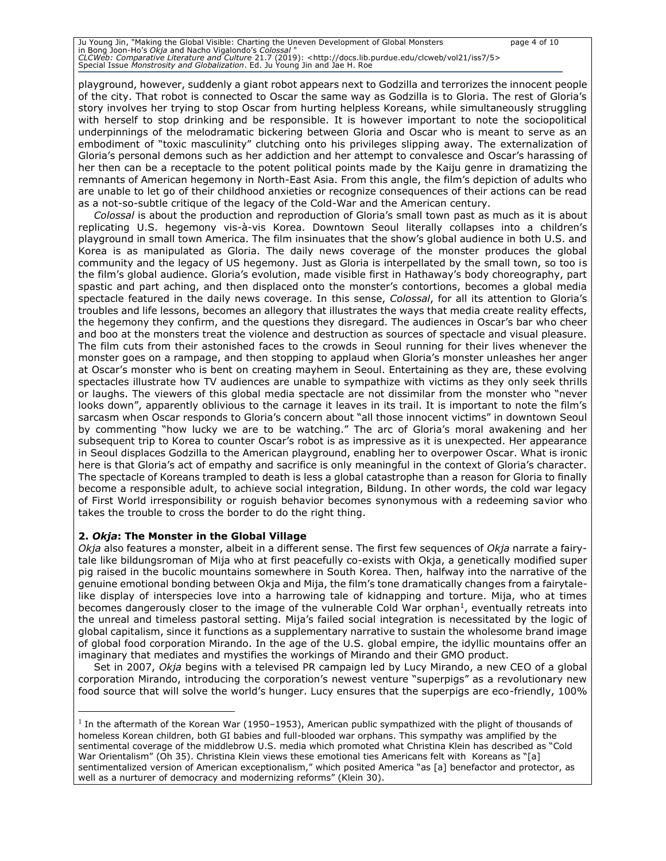Ju Young Jin, "Making the Global Visible: Charting the Uneven Development of Global Monsters<br>in Bong Joon-Ho's O*kja* and Nacho Vigalondo's C*olossal* "<br>*CLCWeb: Comparative Literature and Culture 21.7 (201*9): <http://doc Special Issue *Monstrosity and Globalization*. Ed. Ju Young Jin and Jae H. Roe

playground, however, suddenly a giant robot appears next to Godzilla and terrorizes the innocent people of the city. That robot is connected to Oscar the same way as Godzilla is to Gloria. The rest of Gloria's story involves her trying to stop Oscar from hurting helpless Koreans, while simultaneously struggling with herself to stop drinking and be responsible. It is however important to note the sociopolitical underpinnings of the melodramatic bickering between Gloria and Oscar who is meant to serve as an embodiment of "toxic masculinity" clutching onto his privileges slipping away. The externalization of Gloria's personal demons such as her addiction and her attempt to convalesce and Oscar's harassing of her then can be a receptacle to the potent political points made by the Kaiju genre in dramatizing the remnants of American hegemony in North-East Asia. From this angle, the film's depiction of adults who are unable to let go of their childhood anxieties or recognize consequences of their actions can be read as a not-so-subtle critique of the legacy of the Cold-War and the American century.

*Colossal* is about the production and reproduction of Gloria's small town past as much as it is about replicating U.S. hegemony vis-à-vis Korea. Downtown Seoul literally collapses into a children's playground in small town America. The film insinuates that the show's global audience in both U.S. and Korea is as manipulated as Gloria. The daily news coverage of the monster produces the global community and the legacy of US hegemony. Just as Gloria is interpellated by the small town, so too is the film's global audience. Gloria's evolution, made visible first in Hathaway's body choreography, part spastic and part aching, and then displaced onto the monster's contortions, becomes a global media spectacle featured in the daily news coverage. In this sense, *Colossal*, for all its attention to Gloria's troubles and life lessons, becomes an allegory that illustrates the ways that media create reality effects, the hegemony they confirm, and the questions they disregard. The audiences in Oscar's bar who cheer and boo at the monsters treat the violence and destruction as sources of spectacle and visual pleasure. The film cuts from their astonished faces to the crowds in Seoul running for their lives whenever the monster goes on a rampage, and then stopping to applaud when Gloria's monster unleashes her anger at Oscar's monster who is bent on creating mayhem in Seoul. Entertaining as they are, these evolving spectacles illustrate how TV audiences are unable to sympathize with victims as they only seek thrills or laughs. The viewers of this global media spectacle are not dissimilar from the monster who "never looks down", apparently oblivious to the carnage it leaves in its trail. It is important to note the film's sarcasm when Oscar responds to Gloria's concern about "all those innocent victims" in downtown Seoul by commenting "how lucky we are to be watching." The arc of Gloria's moral awakening and her subsequent trip to Korea to counter Oscar's robot is as impressive as it is unexpected. Her appearance in Seoul displaces Godzilla to the American playground, enabling her to overpower Oscar. What is ironic here is that Gloria's act of empathy and sacrifice is only meaningful in the context of Gloria's character. The spectacle of Koreans trampled to death is less a global catastrophe than a reason for Gloria to finally become a responsible adult, to achieve social integration, Bildung. In other words, the cold war legacy of First World irresponsibility or roguish behavior becomes synonymous with a redeeming savior who takes the trouble to cross the border to do the right thing.

### **2.** *Okja***: The Monster in the Global Village**

*Okja* also features a monster, albeit in a different sense. The first few sequences of *Okja* narrate a fairytale like bildungsroman of Mija who at first peacefully co-exists with Okja, a genetically modified super pig raised in the bucolic mountains somewhere in South Korea. Then, halfway into the narrative of the genuine emotional bonding between Okja and Mija, the film's tone dramatically changes from a fairytalelike display of interspecies love into a harrowing tale of kidnapping and torture. Mija, who at times becomes dangerously closer to the image of the vulnerable Cold War orphan<sup>1</sup>, eventually retreats into the unreal and timeless pastoral setting. Mija's failed social integration is necessitated by the logic of global capitalism, since it functions as a supplementary narrative to sustain the wholesome brand image of global food corporation Mirando. In the age of the U.S. global empire, the idyllic mountains offer an imaginary that mediates and mystifies the workings of Mirando and their GMO product.

Set in 2007, *Okja* begins with a televised PR campaign led by Lucy Mirando, a new CEO of a global corporation Mirando, introducing the corporation's newest venture "superpigs" as a revolutionary new food source that will solve the world's hunger. Lucy ensures that the superpigs are eco-friendly, 100%

<sup>&</sup>lt;sup>1</sup> In the aftermath of the Korean War (1950–1953), American public sympathized with the plight of thousands of homeless Korean children, both GI babies and full-blooded war orphans. This sympathy was amplified by the sentimental coverage of the middlebrow U.S. media which promoted what Christina Klein has described as "Cold War Orientalism" (Oh 35). Christina Klein views these emotional ties Americans felt with Koreans as "[a] sentimentalized version of American exceptionalism," which posited America "as [a] benefactor and protector, as well as a nurturer of democracy and modernizing reforms" (Klein 30).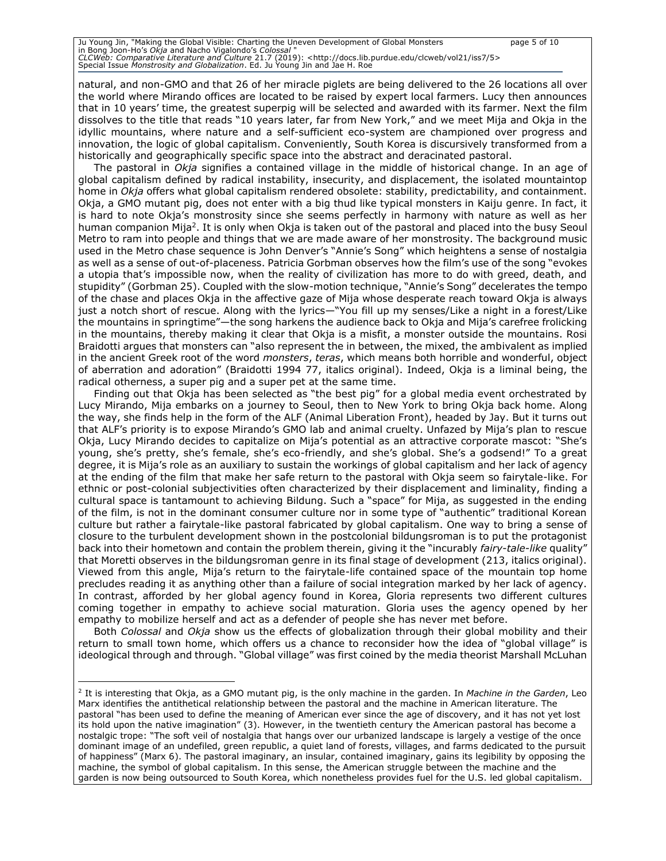Ju Young Jin, "Making the Global Visible: Charting the Uneven Development of Global Monsters page 5 of 10 in Bong Joon-Ho's *Okja* and Nacho Vigalondo's *Colossal* " *CLCWeb: Comparative Literature and Culture* 21.7 (2019): <http://docs.lib.purdue.edu/clcweb/vol21/iss7/5> Special Issue *Monstrosity and Globalization*. Ed. Ju Young Jin and Jae H. Roe

natural, and non-GMO and that 26 of her miracle piglets are being delivered to the 26 locations all over the world where Mirando offices are located to be raised by expert local farmers. Lucy then announces that in 10 years' time, the greatest superpig will be selected and awarded with its farmer. Next the film dissolves to the title that reads "10 years later, far from New York," and we meet Mija and Okja in the idyllic mountains, where nature and a self-sufficient eco-system are championed over progress and innovation, the logic of global capitalism. Conveniently, South Korea is discursively transformed from a historically and geographically specific space into the abstract and deracinated pastoral.

The pastoral in *Okja* signifies a contained village in the middle of historical change. In an age of global capitalism defined by radical instability, insecurity, and displacement, the isolated mountaintop home in *Okja* offers what global capitalism rendered obsolete: stability, predictability, and containment. Okja, a GMO mutant pig, does not enter with a big thud like typical monsters in Kaiju genre. In fact, it is hard to note Okja's monstrosity since she seems perfectly in harmony with nature as well as her human companion Mija<sup>2</sup>. It is only when Okja is taken out of the pastoral and placed into the busy Seoul Metro to ram into people and things that we are made aware of her monstrosity. The background music used in the Metro chase sequence is John Denver's "Annie's Song" which heightens a sense of nostalgia as well as a sense of out-of-placeness. Patricia Gorbman observes how the film's use of the song "evokes a utopia that's impossible now, when the reality of civilization has more to do with greed, death, and stupidity" (Gorbman 25). Coupled with the slow-motion technique, "Annie's Song" decelerates the tempo of the chase and places Okja in the affective gaze of Mija whose desperate reach toward Okja is always just a notch short of rescue. Along with the lyrics—"You fill up my senses/Like a night in a forest/Like the mountains in springtime"—the song harkens the audience back to Okja and Mija's carefree frolicking in the mountains, thereby making it clear that Okja is a misfit, a monster outside the mountains. Rosi Braidotti argues that monsters can "also represent the in between, the mixed, the ambivalent as implied in the ancient Greek root of the word *monsters*, *teras*, which means both horrible and wonderful, object of aberration and adoration" (Braidotti 1994 77, italics original). Indeed, Okja is a liminal being, the radical otherness, a super pig and a super pet at the same time.

Finding out that Okja has been selected as "the best pig" for a global media event orchestrated by Lucy Mirando, Mija embarks on a journey to Seoul, then to New York to bring Okja back home. Along the way, she finds help in the form of the ALF (Animal Liberation Front), headed by Jay. But it turns out that ALF's priority is to expose Mirando's GMO lab and animal cruelty. Unfazed by Mija's plan to rescue Okja, Lucy Mirando decides to capitalize on Mija's potential as an attractive corporate mascot: "She's young, she's pretty, she's female, she's eco-friendly, and she's global. She's a godsend!" To a great degree, it is Mija's role as an auxiliary to sustain the workings of global capitalism and her lack of agency at the ending of the film that make her safe return to the pastoral with Okja seem so fairytale-like. For ethnic or post-colonial subjectivities often characterized by their displacement and liminality, finding a cultural space is tantamount to achieving Bildung. Such a "space" for Mija, as suggested in the ending of the film, is not in the dominant consumer culture nor in some type of "authentic" traditional Korean culture but rather a fairytale-like pastoral fabricated by global capitalism. One way to bring a sense of closure to the turbulent development shown in the postcolonial bildungsroman is to put the protagonist back into their hometown and contain the problem therein, giving it the "incurably *fairy*-*tale*-*like* quality" that Moretti observes in the bildungsroman genre in its final stage of development (213, italics original). Viewed from this angle, Mija's return to the fairytale-life contained space of the mountain top home precludes reading it as anything other than a failure of social integration marked by her lack of agency. In contrast, afforded by her global agency found in Korea, Gloria represents two different cultures coming together in empathy to achieve social maturation. Gloria uses the agency opened by her empathy to mobilize herself and act as a defender of people she has never met before.

Both *Colossal* and *Okja* show us the effects of globalization through their global mobility and their return to small town home, which offers us a chance to reconsider how the idea of "global village" is ideological through and through. "Global village" was first coined by the media theorist Marshall McLuhan

<sup>2</sup> It is interesting that Okja, as a GMO mutant pig, is the only machine in the garden. In *Machine in the Garden*, Leo Marx identifies the antithetical relationship between the pastoral and the machine in American literature. The pastoral "has been used to define the meaning of American ever since the age of discovery, and it has not yet lost its hold upon the native imagination" (3). However, in the twentieth century the American pastoral has become a nostalgic trope: "The soft veil of nostalgia that hangs over our urbanized landscape is largely a vestige of the once dominant image of an undefiled, green republic, a quiet land of forests, villages, and farms dedicated to the pursuit of happiness" (Marx 6). The pastoral imaginary, an insular, contained imaginary, gains its legibility by opposing the machine, the symbol of global capitalism. In this sense, the American struggle between the machine and the garden is now being outsourced to South Korea, which nonetheless provides fuel for the U.S. led global capitalism.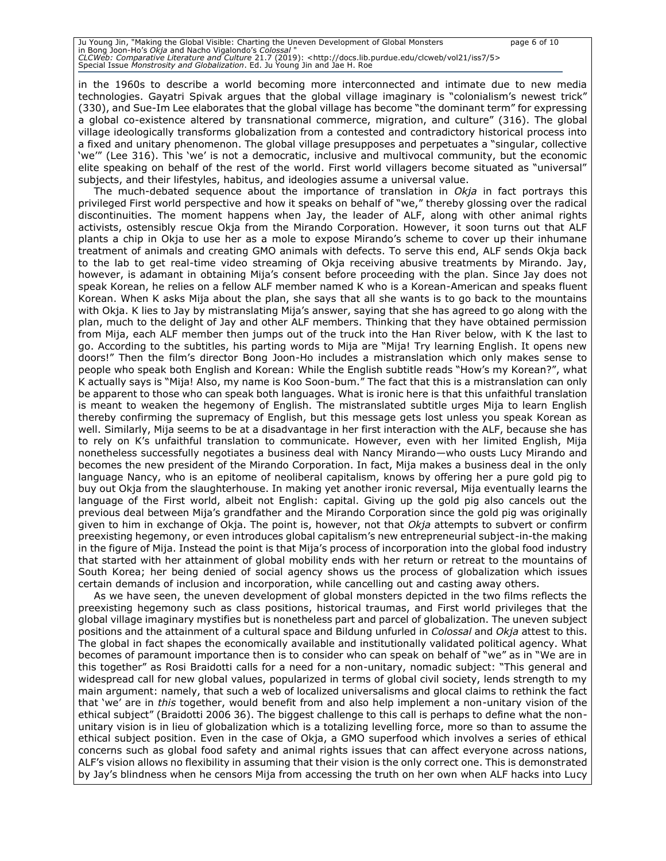Ju Young Jin, "Making the Global Visible: Charting the Uneven Development of Global Monsters page 6 of 10 in Bong Joon-Ho's *Okja* and Nacho Vigalondo's *Colossal* " *CLCWeb: Comparative Literature and Culture* 21.7 (2019): <http://docs.lib.purdue.edu/clcweb/vol21/iss7/5> Special Issue *Monstrosity and Globalization*. Ed. Ju Young Jin and Jae H. Roe

in the 1960s to describe a world becoming more interconnected and intimate due to new media technologies. Gayatri Spivak argues that the global village imaginary is "colonialism's newest trick" (330), and Sue-Im Lee elaborates that the global village has become "the dominant term" for expressing a global co-existence altered by transnational commerce, migration, and culture" (316). The global village ideologically transforms globalization from a contested and contradictory historical process into a fixed and unitary phenomenon. The global village presupposes and perpetuates a "singular, collective 'we'" (Lee 316). This 'we' is not a democratic, inclusive and multivocal community, but the economic elite speaking on behalf of the rest of the world. First world villagers become situated as "universal" subjects, and their lifestyles, habitus, and ideologies assume a universal value.

The much-debated sequence about the importance of translation in *Okja* in fact portrays this privileged First world perspective and how it speaks on behalf of "we," thereby glossing over the radical discontinuities. The moment happens when Jay, the leader of ALF, along with other animal rights activists, ostensibly rescue Okja from the Mirando Corporation. However, it soon turns out that ALF plants a chip in Okja to use her as a mole to expose Mirando's scheme to cover up their inhumane treatment of animals and creating GMO animals with defects. To serve this end, ALF sends Okja back to the lab to get real-time video streaming of Okja receiving abusive treatments by Mirando. Jay, however, is adamant in obtaining Mija's consent before proceeding with the plan. Since Jay does not speak Korean, he relies on a fellow ALF member named K who is a Korean-American and speaks fluent Korean. When K asks Mija about the plan, she says that all she wants is to go back to the mountains with Okja. K lies to Jay by mistranslating Mija's answer, saying that she has agreed to go along with the plan, much to the delight of Jay and other ALF members. Thinking that they have obtained permission from Mija, each ALF member then jumps out of the truck into the Han River below, with K the last to go. According to the subtitles, his parting words to Mija are "Mija! Try learning English. It opens new doors!" Then the film's director Bong Joon-Ho includes a mistranslation which only makes sense to people who speak both English and Korean: While the English subtitle reads "How's my Korean?", what K actually says is "Mija! Also, my name is Koo Soon-bum." The fact that this is a mistranslation can only be apparent to those who can speak both languages. What is ironic here is that this unfaithful translation is meant to weaken the hegemony of English. The mistranslated subtitle urges Mija to learn English thereby confirming the supremacy of English, but this message gets lost unless you speak Korean as well. Similarly, Mija seems to be at a disadvantage in her first interaction with the ALF, because she has to rely on K's unfaithful translation to communicate. However, even with her limited English, Mija nonetheless successfully negotiates a business deal with Nancy Mirando—who ousts Lucy Mirando and becomes the new president of the Mirando Corporation. In fact, Mija makes a business deal in the only language Nancy, who is an epitome of neoliberal capitalism, knows by offering her a pure gold pig to buy out Okja from the slaughterhouse. In making yet another ironic reversal, Mija eventually learns the language of the First world, albeit not English: capital. Giving up the gold pig also cancels out the previous deal between Mija's grandfather and the Mirando Corporation since the gold pig was originally given to him in exchange of Okja. The point is, however, not that *Okja* attempts to subvert or confirm preexisting hegemony, or even introduces global capitalism's new entrepreneurial subject-in-the making in the figure of Mija. Instead the point is that Mija's process of incorporation into the global food industry that started with her attainment of global mobility ends with her return or retreat to the mountains of South Korea; her being denied of social agency shows us the process of globalization which issues certain demands of inclusion and incorporation, while cancelling out and casting away others.

As we have seen, the uneven development of global monsters depicted in the two films reflects the preexisting hegemony such as class positions, historical traumas, and First world privileges that the global village imaginary mystifies but is nonetheless part and parcel of globalization. The uneven subject positions and the attainment of a cultural space and Bildung unfurled in *Colossal* and *Okja* attest to this. The global in fact shapes the economically available and institutionally validated political agency. What becomes of paramount importance then is to consider who can speak on behalf of "we" as in "We are in this together" as Rosi Braidotti calls for a need for a non-unitary, nomadic subject: "This general and widespread call for new global values, popularized in terms of global civil society, lends strength to my main argument: namely, that such a web of localized universalisms and glocal claims to rethink the fact that 'we' are in *this* together, would benefit from and also help implement a non-unitary vision of the ethical subject" (Braidotti 2006 36). The biggest challenge to this call is perhaps to define what the nonunitary vision is in lieu of globalization which is a totalizing levelling force, more so than to assume the ethical subject position. Even in the case of Okja, a GMO superfood which involves a series of ethical concerns such as global food safety and animal rights issues that can affect everyone across nations, ALF's vision allows no flexibility in assuming that their vision is the only correct one. This is demonstrated by Jay's blindness when he censors Mija from accessing the truth on her own when ALF hacks into Lucy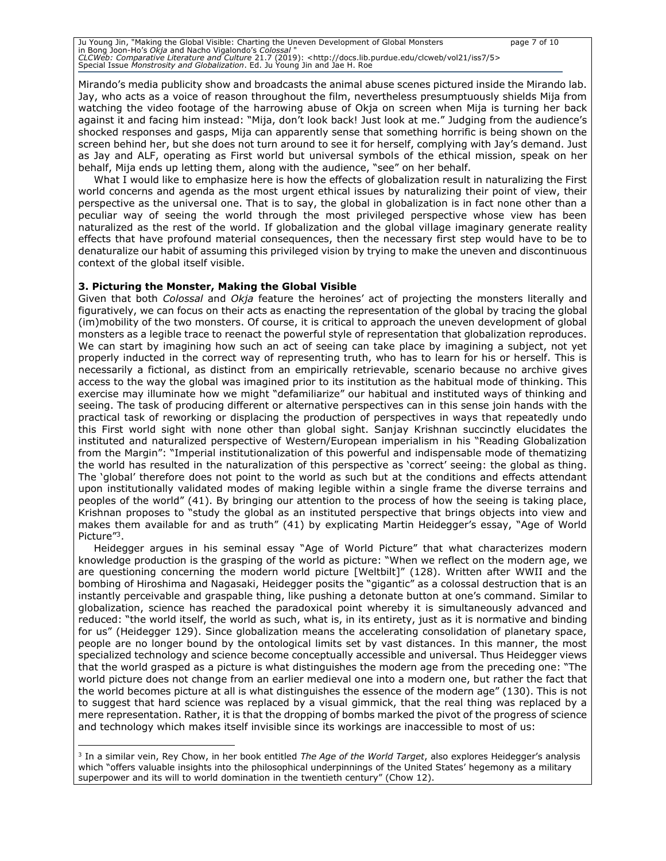Ju Young Jin, "Making the Global Visible: Charting the Uneven Development of Global Monsters page 7 of 10 in Bong Joon-Ho's *Okja* and Nacho Vigalondo's *Colossal* " *CLCWeb: Comparative Literature and Culture* 21.7 (2019): <http://docs.lib.purdue.edu/clcweb/vol21/iss7/5> Special Issue *Monstrosity and Globalization*. Ed. Ju Young Jin and Jae H. Roe

Mirando's media publicity show and broadcasts the animal abuse scenes pictured inside the Mirando lab. Jay, who acts as a voice of reason throughout the film, nevertheless presumptuously shields Mija from watching the video footage of the harrowing abuse of Okja on screen when Mija is turning her back against it and facing him instead: "Mija, don't look back! Just look at me." Judging from the audience's shocked responses and gasps, Mija can apparently sense that something horrific is being shown on the screen behind her, but she does not turn around to see it for herself, complying with Jay's demand. Just as Jay and ALF, operating as First world but universal symbols of the ethical mission, speak on her behalf, Mija ends up letting them, along with the audience, "see" on her behalf.

What I would like to emphasize here is how the effects of globalization result in naturalizing the First world concerns and agenda as the most urgent ethical issues by naturalizing their point of view, their perspective as the universal one. That is to say, the global in globalization is in fact none other than a peculiar way of seeing the world through the most privileged perspective whose view has been naturalized as the rest of the world. If globalization and the global village imaginary generate reality effects that have profound material consequences, then the necessary first step would have to be to denaturalize our habit of assuming this privileged vision by trying to make the uneven and discontinuous context of the global itself visible.

#### **3. Picturing the Monster, Making the Global Visible**

Given that both *Colossal* and *Okja* feature the heroines' act of projecting the monsters literally and figuratively, we can focus on their acts as enacting the representation of the global by tracing the global (im)mobility of the two monsters. Of course, it is critical to approach the uneven development of global monsters as a legible trace to reenact the powerful style of representation that globalization reproduces. We can start by imagining how such an act of seeing can take place by imagining a subject, not yet properly inducted in the correct way of representing truth, who has to learn for his or herself. This is necessarily a fictional, as distinct from an empirically retrievable, scenario because no archive gives access to the way the global was imagined prior to its institution as the habitual mode of thinking. This exercise may illuminate how we might "defamiliarize" our habitual and instituted ways of thinking and seeing. The task of producing different or alternative perspectives can in this sense join hands with the practical task of reworking or displacing the production of perspectives in ways that repeatedly undo this First world sight with none other than global sight. Sanjay Krishnan succinctly elucidates the instituted and naturalized perspective of Western/European imperialism in his "Reading Globalization from the Margin": "Imperial institutionalization of this powerful and indispensable mode of thematizing the world has resulted in the naturalization of this perspective as 'correct' seeing: the global as thing. The 'global' therefore does not point to the world as such but at the conditions and effects attendant upon institutionally validated modes of making legible within a single frame the diverse terrains and peoples of the world" (41). By bringing our attention to the process of how the seeing is taking place, Krishnan proposes to "study the global as an instituted perspective that brings objects into view and makes them available for and as truth" (41) by explicating Martin Heidegger's essay, "Age of World Picture"<sup>3</sup>.

Heidegger argues in his seminal essay "Age of World Picture" that what characterizes modern knowledge production is the grasping of the world as picture: "When we reflect on the modern age, we are questioning concerning the modern world picture [Weltbilt]" (128). Written after WWII and the bombing of Hiroshima and Nagasaki, Heidegger posits the "gigantic" as a colossal destruction that is an instantly perceivable and graspable thing, like pushing a detonate button at one's command. Similar to globalization, science has reached the paradoxical point whereby it is simultaneously advanced and reduced: "the world itself, the world as such, what is, in its entirety, just as it is normative and binding for us" (Heidegger 129). Since globalization means the accelerating consolidation of planetary space, people are no longer bound by the ontological limits set by vast distances. In this manner, the most specialized technology and science become conceptually accessible and universal. Thus Heidegger views that the world grasped as a picture is what distinguishes the modern age from the preceding one: "The world picture does not change from an earlier medieval one into a modern one, but rather the fact that the world becomes picture at all is what distinguishes the essence of the modern age" (130). This is not to suggest that hard science was replaced by a visual gimmick, that the real thing was replaced by a mere representation. Rather, it is that the dropping of bombs marked the pivot of the progress of science and technology which makes itself invisible since its workings are inaccessible to most of us:

<sup>3</sup> In a similar vein, Rey Chow, in her book entitled *The Age of the World Target*, also explores Heidegger's analysis which "offers valuable insights into the philosophical underpinnings of the United States' hegemony as a military superpower and its will to world domination in the twentieth century" (Chow 12).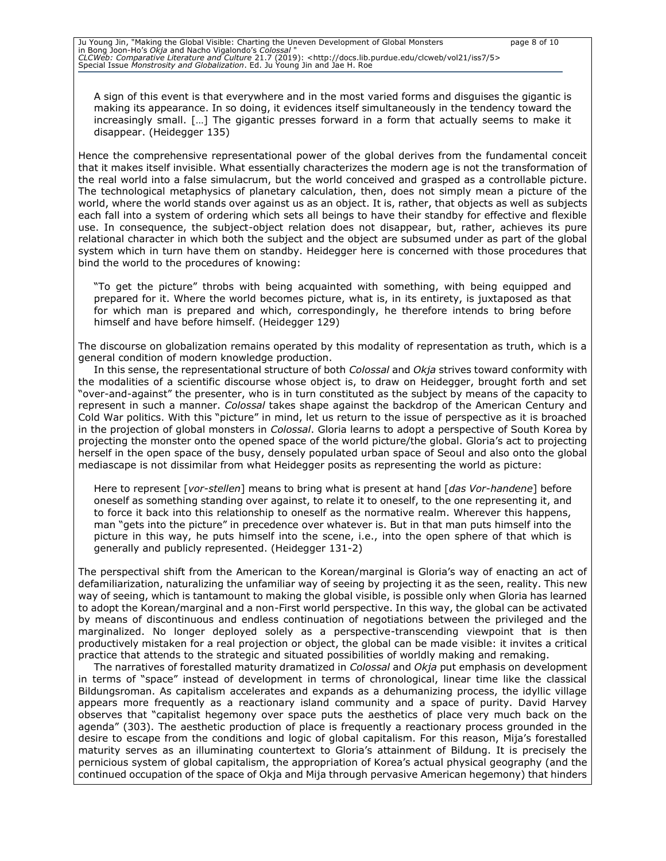A sign of this event is that everywhere and in the most varied forms and disguises the gigantic is making its appearance. In so doing, it evidences itself simultaneously in the tendency toward the increasingly small. […] The gigantic presses forward in a form that actually seems to make it disappear. (Heidegger 135)

Hence the comprehensive representational power of the global derives from the fundamental conceit that it makes itself invisible. What essentially characterizes the modern age is not the transformation of the real world into a false simulacrum, but the world conceived and grasped as a controllable picture. The technological metaphysics of planetary calculation, then, does not simply mean a picture of the world, where the world stands over against us as an object. It is, rather, that objects as well as subjects each fall into a system of ordering which sets all beings to have their standby for effective and flexible use. In consequence, the subject-object relation does not disappear, but, rather, achieves its pure relational character in which both the subject and the object are subsumed under as part of the global system which in turn have them on standby. Heidegger here is concerned with those procedures that bind the world to the procedures of knowing:

"To get the picture" throbs with being acquainted with something, with being equipped and prepared for it. Where the world becomes picture, what is, in its entirety, is juxtaposed as that for which man is prepared and which, correspondingly, he therefore intends to bring before himself and have before himself. (Heidegger 129)

The discourse on globalization remains operated by this modality of representation as truth, which is a general condition of modern knowledge production.

In this sense, the representational structure of both *Colossal* and *Okja* strives toward conformity with the modalities of a scientific discourse whose object is, to draw on Heidegger, brought forth and set "over-and-against" the presenter, who is in turn constituted as the subject by means of the capacity to represent in such a manner. *Colossal* takes shape against the backdrop of the American Century and Cold War politics. With this "picture" in mind, let us return to the issue of perspective as it is broached in the projection of global monsters in *Colossal*. Gloria learns to adopt a perspective of South Korea by projecting the monster onto the opened space of the world picture/the global. Gloria's act to projecting herself in the open space of the busy, densely populated urban space of Seoul and also onto the global mediascape is not dissimilar from what Heidegger posits as representing the world as picture:

Here to represent [*vor-stellen*] means to bring what is present at hand [*das Vor-handene*] before oneself as something standing over against, to relate it to oneself, to the one representing it, and to force it back into this relationship to oneself as the normative realm. Wherever this happens, man "gets into the picture" in precedence over whatever is. But in that man puts himself into the picture in this way, he puts himself into the scene, i.e., into the open sphere of that which is generally and publicly represented. (Heidegger 131-2)

The perspectival shift from the American to the Korean/marginal is Gloria's way of enacting an act of defamiliarization, naturalizing the unfamiliar way of seeing by projecting it as the seen, reality. This new way of seeing, which is tantamount to making the global visible, is possible only when Gloria has learned to adopt the Korean/marginal and a non-First world perspective. In this way, the global can be activated by means of discontinuous and endless continuation of negotiations between the privileged and the marginalized. No longer deployed solely as a perspective-transcending viewpoint that is then productively mistaken for a real projection or object, the global can be made visible: it invites a critical practice that attends to the strategic and situated possibilities of worldly making and remaking.

The narratives of forestalled maturity dramatized in *Colossal* and *Okja* put emphasis on development in terms of "space" instead of development in terms of chronological, linear time like the classical Bildungsroman. As capitalism accelerates and expands as a dehumanizing process, the idyllic village appears more frequently as a reactionary island community and a space of purity. David Harvey observes that "capitalist hegemony over space puts the aesthetics of place very much back on the agenda" (303). The aesthetic production of place is frequently a reactionary process grounded in the desire to escape from the conditions and logic of global capitalism. For this reason, Mija's forestalled maturity serves as an illuminating countertext to Gloria's attainment of Bildung. It is precisely the pernicious system of global capitalism, the appropriation of Korea's actual physical geography (and the continued occupation of the space of Okja and Mija through pervasive American hegemony) that hinders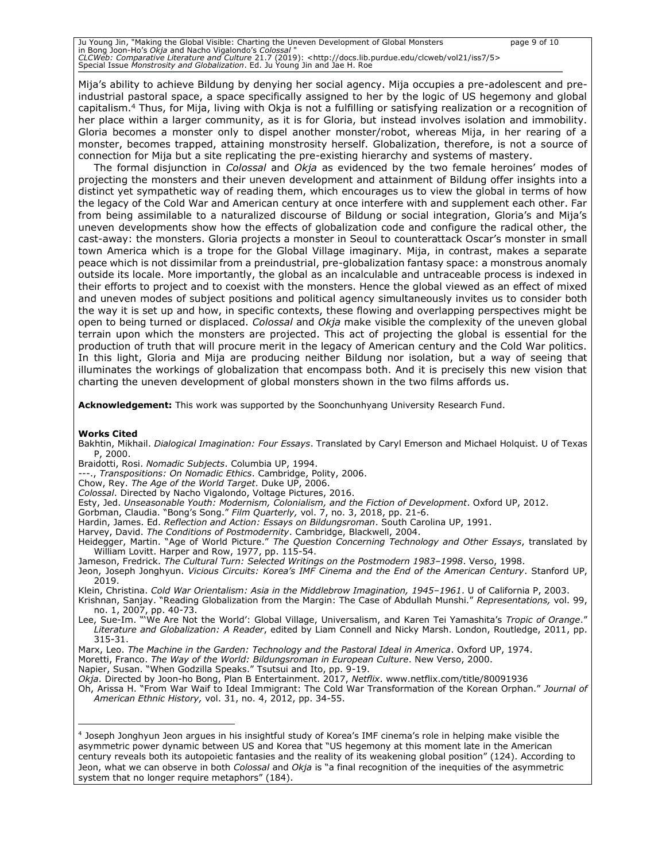Ju Young Jin, "Making the Global Visible: Charting the Uneven Development of Global Monsters<br>in Bong Joon-Ho's O*kja* and Nacho Vigalondo's C*olossal* "<br>*CLCWeb: Comparative Literature and Culture 21.7 (201*9): <http://doc Special Issue *Monstrosity and Globalization*. Ed. Ju Young Jin and Jae H. Roe

Mija's ability to achieve Bildung by denying her social agency. Mija occupies a pre-adolescent and preindustrial pastoral space, a space specifically assigned to her by the logic of US hegemony and global capitalism.<sup>4</sup> Thus, for Mija, living with Okja is not a fulfilling or satisfying realization or a recognition of her place within a larger community, as it is for Gloria, but instead involves isolation and immobility. Gloria becomes a monster only to dispel another monster/robot, whereas Mija, in her rearing of a monster, becomes trapped, attaining monstrosity herself. Globalization, therefore, is not a source of connection for Mija but a site replicating the pre-existing hierarchy and systems of mastery.

The formal disjunction in *Colossal* and *Okja* as evidenced by the two female heroines' modes of projecting the monsters and their uneven development and attainment of Bildung offer insights into a distinct yet sympathetic way of reading them, which encourages us to view the global in terms of how the legacy of the Cold War and American century at once interfere with and supplement each other. Far from being assimilable to a naturalized discourse of Bildung or social integration, Gloria's and Mija's uneven developments show how the effects of globalization code and configure the radical other, the cast-away: the monsters. Gloria projects a monster in Seoul to counterattack Oscar's monster in small town America which is a trope for the Global Village imaginary. Mija, in contrast, makes a separate peace which is not dissimilar from a preindustrial, pre-globalization fantasy space: a monstrous anomaly outside its locale. More importantly, the global as an incalculable and untraceable process is indexed in their efforts to project and to coexist with the monsters. Hence the global viewed as an effect of mixed and uneven modes of subject positions and political agency simultaneously invites us to consider both the way it is set up and how, in specific contexts, these flowing and overlapping perspectives might be open to being turned or displaced. *Colossal* and *Okja* make visible the complexity of the uneven global terrain upon which the monsters are projected. This act of projecting the global is essential for the production of truth that will procure merit in the legacy of American century and the Cold War politics. In this light, Gloria and Mija are producing neither Bildung nor isolation, but a way of seeing that illuminates the workings of globalization that encompass both. And it is precisely this new vision that charting the uneven development of global monsters shown in the two films affords us.

**Acknowledgement:** This work was supported by the Soonchunhyang University Research Fund.

#### **Works Cited**

- Bakhtin, Mikhail. *Dialogical Imagination: Four Essays*. Translated by Caryl Emerson and Michael Holquist. U of Texas P, 2000.
- Braidotti, Rosi. *Nomadic Subjects*. Columbia UP, 1994.

---., *Transpositions: On Nomadic Ethics*. Cambridge, Polity, 2006.

Chow, Rey. *The Age of the World Target*. Duke UP, 2006.

*Colossal*. Directed by Nacho Vigalondo, Voltage Pictures, 2016.

Esty, Jed. *Unseasonable Youth: Modernism, Colonialism, and the Fiction of Development*. Oxford UP, 2012.

Gorbman, Claudia. "Bong's Song." *Film Quarterly,* vol. 7, no. 3, 2018, pp. 21-6.

Hardin, James. Ed. *Reflection and Action: Essays on Bildungsroman*. South Carolina UP, 1991.

Harvey, David. *The Conditions of Postmodernity*. Cambridge, Blackwell, 2004.

Heidegger, Martin. "Age of World Picture." *The Question Concerning Technology and Other Essays*, translated by William Lovitt. Harper and Row, 1977, pp. 115-54.

Jameson, Fredrick. *The Cultural Turn: Selected Writings on the Postmodern 1983–1998*. Verso, 1998.

Jeon, Joseph Jonghyun. *Vicious Circuits: Korea's IMF Cinema and the End of the American Century*. Stanford UP, 2019.

Klein, Christina. *Cold War Orientalism: Asia in the Middlebrow Imagination, 1945–1961*. U of California P, 2003. Krishnan, Sanjay. "Reading Globalization from the Margin: The Case of Abdullah Munshi." *Representations,* vol. 99, no. 1, 2007, pp. 40-73.

Lee, Sue-Im. "'We Are Not the World': Global Village, Universalism, and Karen Tei Yamashita's *Tropic of Orange*." *Literature and Globalization: A Reader*, edited by Liam Connell and Nicky Marsh. London, Routledge, 2011, pp. 315-31.

Marx, Leo. *The Machine in the Garden: Technology and the Pastoral Ideal in America*. Oxford UP, 1974.

Moretti, Franco. *The Way of the World: Bildungsroman in European Culture*. New Verso, 2000.

Napier, Susan. "When Godzilla Speaks." Tsutsui and Ito, pp. 9-19.

*Okja*. Directed by Joon-ho Bong, Plan B Entertainment. 2017, *Netflix*. www.netflix.com/title/80091936

Oh, Arissa H. "From War Waif to Ideal Immigrant: The Cold War Transformation of the Korean Orphan." *Journal of American Ethnic History,* vol. 31, no. 4, 2012, pp. 34-55.

<sup>4</sup> Joseph Jonghyun Jeon argues in his insightful study of Korea's IMF cinema's role in helping make visible the asymmetric power dynamic between US and Korea that "US hegemony at this moment late in the American century reveals both its autopoietic fantasies and the reality of its weakening global position" (124). According to Jeon, what we can observe in both *Colossal* and *Okja* is "a final recognition of the inequities of the asymmetric system that no longer require metaphors" (184).